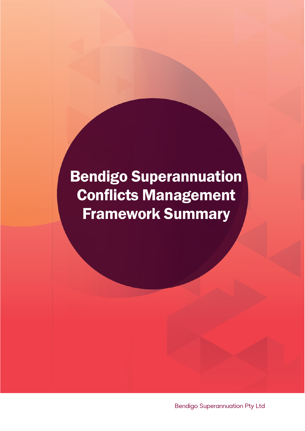# Bendigo Superannuation Conflicts Management Framework Summary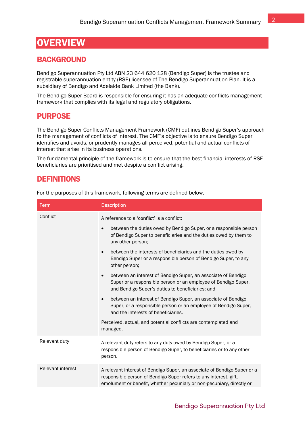# **OVERVIEW**

#### **BACKGROUND**

Bendigo Superannuation Pty Ltd ABN 23 644 620 128 (Bendigo Super) is the trustee and registrable superannuation entity (RSE) licensee of The Bendigo Superannuation Plan. It is a subsidiary of Bendigo and Adelaide Bank Limited (the Bank).

The Bendigo Super Board is responsible for ensuring it has an adequate conflicts management framework that complies with its legal and regulatory obligations.

#### PURPOSE

The Bendigo Super Conflicts Management Framework (CMF) outlines Bendigo Super's approach to the management of conflicts of interest. The CMF's objective is to ensure Bendigo Super identifies and avoids, or prudently manages all perceived, potential and actual conflicts of interest that arise in its business operations.

The fundamental principle of the framework is to ensure that the best financial interests of RSE beneficiaries are prioritised and met despite a conflict arising.

#### **DEFINITIONS**

For the purposes of this framework, following terms are defined below.

| <b>Term</b>       | <b>Description</b>                                                                                                                                                                                                     |
|-------------------|------------------------------------------------------------------------------------------------------------------------------------------------------------------------------------------------------------------------|
| Conflict          | A reference to a 'conflict' is a conflict:                                                                                                                                                                             |
|                   | between the duties owed by Bendigo Super, or a responsible person<br>$\bullet$<br>of Bendigo Super to beneficiaries and the duties owed by them to<br>any other person;                                                |
|                   | between the interests of beneficiaries and the duties owed by<br>$\bullet$<br>Bendigo Super or a responsible person of Bendigo Super, to any<br>other person;                                                          |
|                   | between an interest of Bendigo Super, an associate of Bendigo<br>$\bullet$<br>Super or a responsible person or an employee of Bendigo Super,<br>and Bendigo Super's duties to beneficiaries; and                       |
|                   | between an interest of Bendigo Super, an associate of Bendigo<br>$\bullet$<br>Super, or a responsible person or an employee of Bendigo Super,<br>and the interests of beneficiaries.                                   |
|                   | Perceived, actual, and potential conflicts are contemplated and<br>managed.                                                                                                                                            |
| Relevant duty     | A relevant duty refers to any duty owed by Bendigo Super, or a<br>responsible person of Bendigo Super, to beneficiaries or to any other<br>person.                                                                     |
| Relevant interest | A relevant interest of Bendigo Super, an associate of Bendigo Super or a<br>responsible person of Bendigo Super refers to any interest, gift,<br>emolument or benefit, whether pecuniary or non-pecuniary, directly or |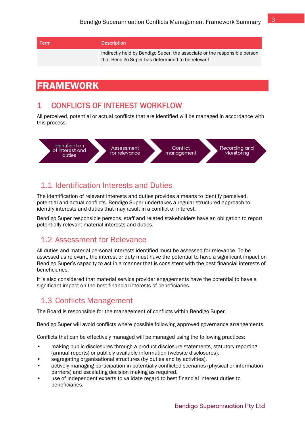| Term | <b>Description</b>                                                                                                            |
|------|-------------------------------------------------------------------------------------------------------------------------------|
|      | indirectly held by Bendigo Super, the associate or the responsible person<br>that Bendigo Super has determined to be relevant |

# FRAMEWORK

## 1 CONFLICTS OF INTEREST WORKFLOW

All perceived, potential or actual conflicts that are identified will be managed in accordance with this process.



# 1.1 Identification Interests and Duties

The identification of relevant interests and duties provides a means to identify perceived, potential and actual conflicts. Bendigo Super undertakes a regular structured approach to identify interests and duties that may result in a conflict of interest.

Bendigo Super responsible persons, staff and related stakeholders have an obligation to report potentially relevant material interests and duties.

# 1.2 Assessment for Relevance

All duties and material personal interests identified must be assessed for relevance. To be assessed as relevant, the interest or duty must have the potential to have a significant impact on Bendigo Super's capacity to act in a manner that is consistent with the best financial interests of beneficiaries.

It is also considered that material service provider engagements have the potential to have a significant impact on the best financial interests of beneficiaries.

# 1.3 Conflicts Management

The Board is responsible for the management of conflicts within Bendigo Super.

Bendigo Super will avoid conflicts where possible following approved governance arrangements.

Conflicts that can be effectively managed will be managed using the following practices:

- making public disclosures through a product disclosure statements, statutory reporting (annual reports) or publicly available information (website disclosures).
- segregating organisational structures (by duties and by activities).
- actively managing participation in potentially conflicted scenarios (physical or information barriers) and escalating decision making as required.
- use of independent experts to validate regard to best financial interest duties to beneficiaries.